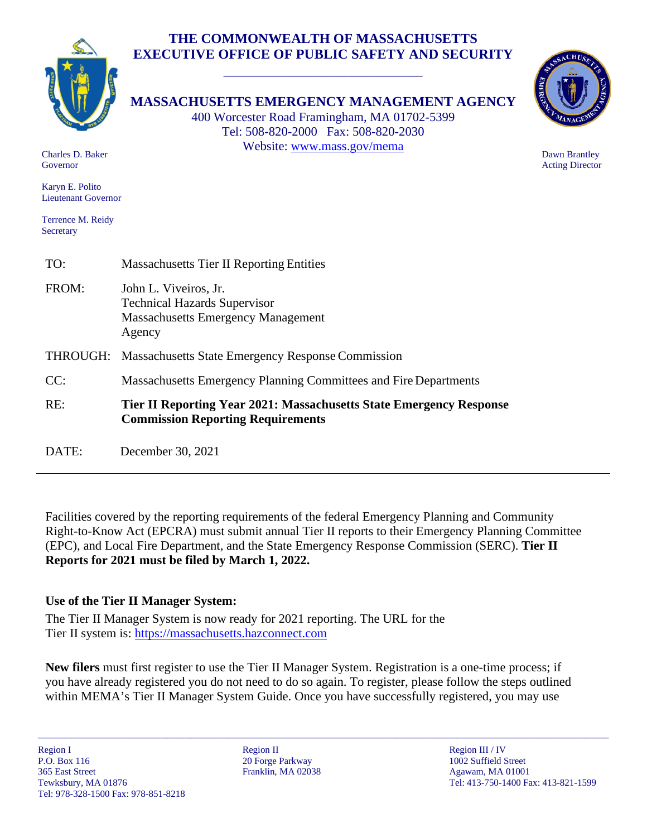# **THE COMMONWEALTH OF MASSACHUSETTS EXECUTIVE OFFICE OF PUBLIC SAFETY AND SECURITY**

\_\_\_\_\_\_\_\_\_\_\_\_\_\_\_\_\_\_\_\_\_\_\_\_\_\_\_\_\_



**MASSACHUSETTS EMERGENCY MANAGEMENT AGENCY**

400 Worcester Road Framingham, MA 01702-5399 Tel: 508-820-2000 Fax: 508-820-2030 Website: [www.mass.gov/mema](http://www.mass.gov/mema)



 Dawn Brantley Acting Director

 Charles D. Baker Governor

 Karyn E. Polito Lieutenant Governor

 Terrence M. Reidy Secretary

| TO:   | <b>Massachusetts Tier II Reporting Entities</b>                                                                        |
|-------|------------------------------------------------------------------------------------------------------------------------|
| FROM: | John L. Viveiros, Jr.<br><b>Technical Hazards Supervisor</b><br><b>Massachusetts Emergency Management</b><br>Agency    |
|       | <b>THROUGH:</b> Massachusetts State Emergency Response Commission                                                      |
| CC:   | Massachusetts Emergency Planning Committees and Fire Departments                                                       |
| RE:   | <b>Tier II Reporting Year 2021: Massachusetts State Emergency Response</b><br><b>Commission Reporting Requirements</b> |
| DATE: | December 30, 2021                                                                                                      |

Facilities covered by the reporting requirements of the federal Emergency Planning and Community Right-to-Know Act (EPCRA) must submit annual Tier II reports to their Emergency Planning Committee (EPC), and Local Fire Department, and the State Emergency Response Commission (SERC). **Tier II Reports for 2021 must be filed by March 1, 2022.**

# **Use of the Tier II Manager System:**

The Tier II Manager System is now ready for 2021 reporting. The URL for the Tier II system is: [https://massachusetts.hazconnect.com](https://massachusetts.hazconnect.com/)

**New filers** must first register to use the Tier II Manager System. Registration is a one-time process; if you have already registered you do not need to do so again. To register, please follow the steps outlined within MEMA's Tier II Manager System Guide. Once you have successfully registered, you may use

\_\_\_\_\_\_\_\_\_\_\_\_\_\_\_\_\_\_\_\_\_\_\_\_\_\_\_\_\_\_\_\_\_\_\_\_\_\_\_\_\_\_\_\_\_\_\_\_\_\_\_\_\_\_\_\_\_\_\_\_\_\_\_\_\_\_\_\_\_\_\_\_\_\_\_\_\_\_\_\_\_\_\_\_\_\_\_\_\_\_\_\_\_\_\_\_\_\_\_\_\_\_\_\_\_\_\_\_\_\_\_\_\_\_\_\_\_\_\_\_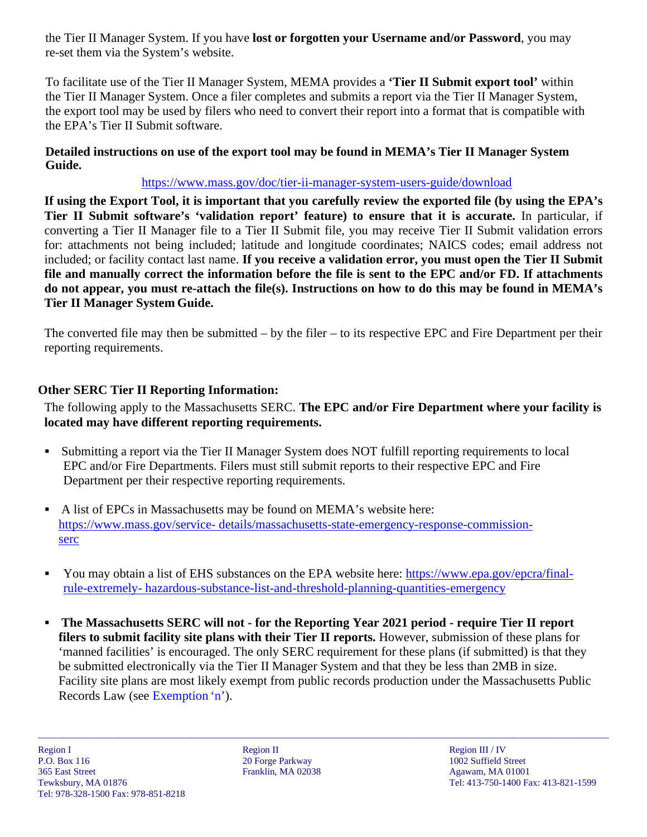the Tier II Manager System. If you have **lost or forgotten your Username and/or Password**, you may re-set them via the System's website.

To facilitate use of the Tier II Manager System, MEMA provides a **'Tier II Submit export tool'** within the Tier II Manager System. Once a filer completes and submits a report via the Tier II Manager System, the export tool may be used by filers who need to convert their report into a format that is compatible with the EPA's Tier II Submit software.

#### **Detailed instructions on use of the export tool may be found in MEMA's Tier II Manager System Guide.**

### <https://www.mass.gov/doc/tier-ii-manager-system-users-guide/download>

**If using the Export Tool, it is important that you carefully review the exported file (by using the EPA's Tier II Submit software's 'validation report' feature) to ensure that it is accurate.** In particular, if converting a Tier II Manager file to a Tier II Submit file, you may receive Tier II Submit validation errors for: attachments not being included; latitude and longitude coordinates; NAICS codes; email address not included; or facility contact last name. **If you receive a validation error, you must open the Tier II Submit file and manually correct the information before the file is sent to the EPC and/or FD. If attachments do not appear, you must re-attach the file(s). Instructions on how to do this may be found in MEMA's Tier II Manager System Guide.**

The converted file may then be submitted – by the filer – to its respective EPC and Fire Department per their reporting requirements.

### **Other SERC Tier II Reporting Information:**

The following apply to the Massachusetts SERC. **The EPC and/or Fire Department where your facility is located may have different reporting requirements.**

- Submitting a report via the Tier II Manager System does NOT fulfill reporting requirements to local EPC and/or Fire Departments. Filers must still submit reports to their respective EPC and Fire Department per their respective reporting requirements.
- A list of EPCs in Massachusetts may be found on MEMA's website here: [https://www.mass.gov/service-](https://www.mass.gov/service-details/massachusetts-state-emergency-response-commission-serc) [details/massachusetts-state-emergency-response-commission](https://www.mass.gov/service-details/massachusetts-state-emergency-response-commission-serc)[serc](https://www.mass.gov/service-details/massachusetts-state-emergency-response-commission-serc)
- You may obtain a list of EHS substances on the EPA website here: [https://www.epa.gov/epcra/final](https://www.epa.gov/epcra/final-rule-extremely-hazardous-substance-list-and-threshold-planning-quantities-emergency)[rule-extremely-](https://www.epa.gov/epcra/final-rule-extremely-hazardous-substance-list-and-threshold-planning-quantities-emergency) [hazardous-substance-list-and-threshold-planning-quantities-emergency](https://www.epa.gov/epcra/final-rule-extremely-hazardous-substance-list-and-threshold-planning-quantities-emergency)
- **The Massachusetts SERC will not - for the Reporting Year 2021 period - require Tier II report filers to submit facility site plans with their Tier II reports.** However, submission of these plans for 'manned facilities' is encouraged. The only SERC requirement for these plans (if submitted) is that they be submitted electronically via the Tier II Manager System and that they be less than 2MB in size. Facility site plans are most likely exempt from public records production under the Massachusetts Public Records Law (see Exemption 'n').

\_\_\_\_\_\_\_\_\_\_\_\_\_\_\_\_\_\_\_\_\_\_\_\_\_\_\_\_\_\_\_\_\_\_\_\_\_\_\_\_\_\_\_\_\_\_\_\_\_\_\_\_\_\_\_\_\_\_\_\_\_\_\_\_\_\_\_\_\_\_\_\_\_\_\_\_\_\_\_\_\_\_\_\_\_\_\_\_\_\_\_\_\_\_\_\_\_\_\_\_\_\_\_\_\_\_\_\_\_\_\_\_\_\_\_\_\_\_\_\_